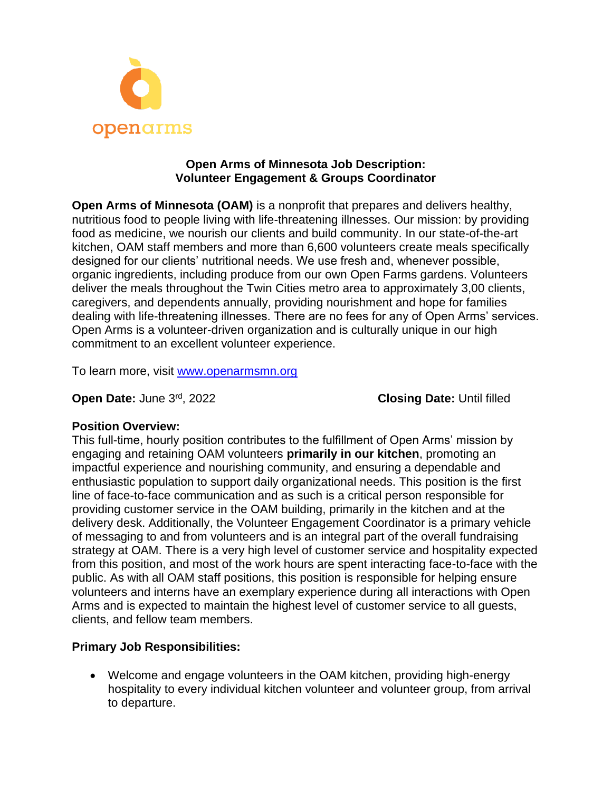

### **Open Arms of Minnesota Job Description: Volunteer Engagement & Groups Coordinator**

**Open Arms of Minnesota (OAM)** is a nonprofit that prepares and delivers healthy, nutritious food to people living with life-threatening illnesses. Our mission: by providing food as medicine, we nourish our clients and build community. In our state-of-the-art kitchen, OAM staff members and more than 6,600 volunteers create meals specifically designed for our clients' nutritional needs. We use fresh and, whenever possible, organic ingredients, including produce from our own Open Farms gardens. Volunteers deliver the meals throughout the Twin Cities metro area to approximately 3,00 clients, caregivers, and dependents annually, providing nourishment and hope for families dealing with life-threatening illnesses. There are no fees for any of Open Arms' services. Open Arms is a volunteer-driven organization and is culturally unique in our high commitment to an excellent volunteer experience.

To learn more, visit [www.openarmsmn.org](http://www.openarmsmn.org/)

**Open Date: June 3rd, 2022** 

**Closing Date: Until filled** 

# **Position Overview:**

This full-time, hourly position contributes to the fulfillment of Open Arms' mission by engaging and retaining OAM volunteers **primarily in our kitchen**, promoting an impactful experience and nourishing community, and ensuring a dependable and enthusiastic population to support daily organizational needs. This position is the first line of face-to-face communication and as such is a critical person responsible for providing customer service in the OAM building, primarily in the kitchen and at the delivery desk. Additionally, the Volunteer Engagement Coordinator is a primary vehicle of messaging to and from volunteers and is an integral part of the overall fundraising strategy at OAM. There is a very high level of customer service and hospitality expected from this position, and most of the work hours are spent interacting face-to-face with the public. As with all OAM staff positions, this position is responsible for helping ensure volunteers and interns have an exemplary experience during all interactions with Open Arms and is expected to maintain the highest level of customer service to all guests, clients, and fellow team members.

# **Primary Job Responsibilities:**

• Welcome and engage volunteers in the OAM kitchen, providing high-energy hospitality to every individual kitchen volunteer and volunteer group, from arrival to departure.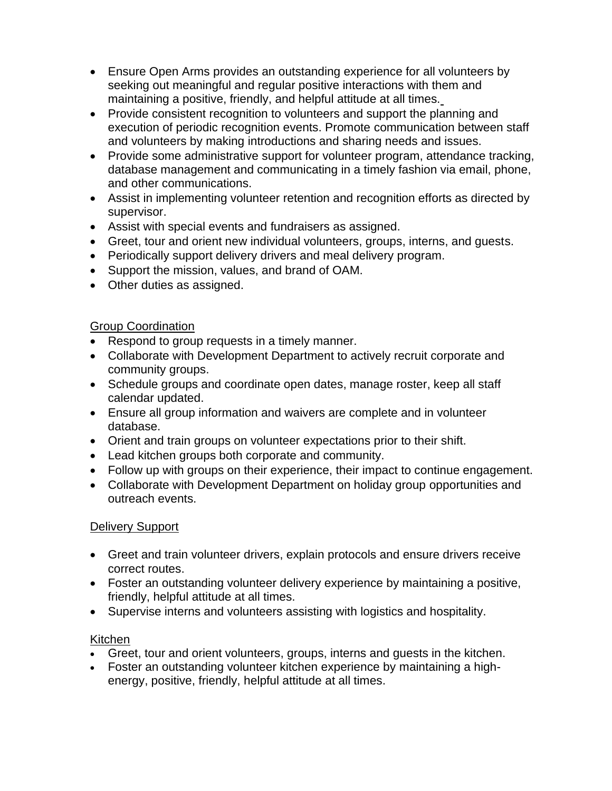- Ensure Open Arms provides an outstanding experience for all volunteers by seeking out meaningful and regular positive interactions with them and maintaining a positive, friendly, and helpful attitude at all times.
- Provide consistent recognition to volunteers and support the planning and execution of periodic recognition events. Promote communication between staff and volunteers by making introductions and sharing needs and issues.
- Provide some administrative support for volunteer program, attendance tracking, database management and communicating in a timely fashion via email, phone, and other communications.
- Assist in implementing volunteer retention and recognition efforts as directed by supervisor.
- Assist with special events and fundraisers as assigned.
- Greet, tour and orient new individual volunteers, groups, interns, and guests.
- Periodically support delivery drivers and meal delivery program.
- Support the mission, values, and brand of OAM.
- Other duties as assigned.

# Group Coordination

- Respond to group requests in a timely manner.
- Collaborate with Development Department to actively recruit corporate and community groups.
- Schedule groups and coordinate open dates, manage roster, keep all staff calendar updated.
- Ensure all group information and waivers are complete and in volunteer database.
- Orient and train groups on volunteer expectations prior to their shift.
- Lead kitchen groups both corporate and community.
- Follow up with groups on their experience, their impact to continue engagement.
- Collaborate with Development Department on holiday group opportunities and outreach events.

# Delivery Support

- Greet and train volunteer drivers, explain protocols and ensure drivers receive correct routes.
- Foster an outstanding volunteer delivery experience by maintaining a positive, friendly, helpful attitude at all times.
- Supervise interns and volunteers assisting with logistics and hospitality.

# Kitchen

- Greet, tour and orient volunteers, groups, interns and guests in the kitchen.
- Foster an outstanding volunteer kitchen experience by maintaining a highenergy, positive, friendly, helpful attitude at all times.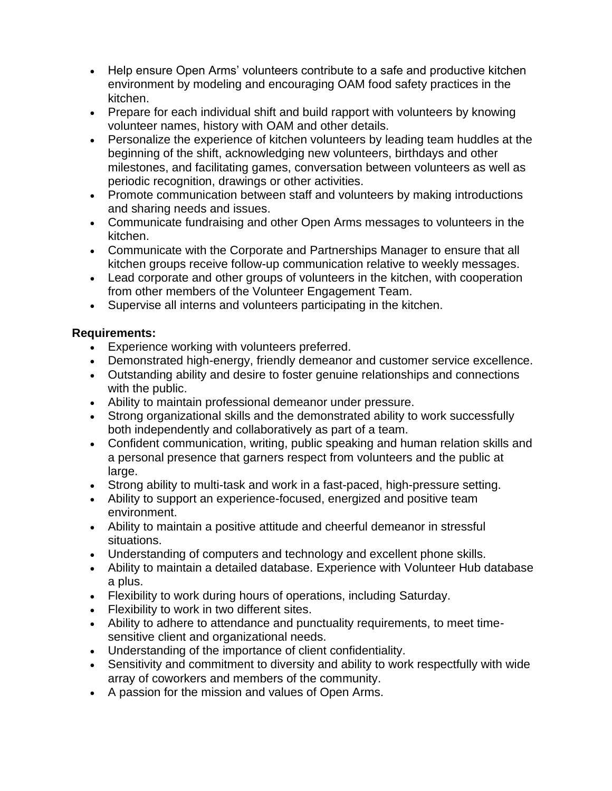- Help ensure Open Arms' volunteers contribute to a safe and productive kitchen environment by modeling and encouraging OAM food safety practices in the kitchen.
- Prepare for each individual shift and build rapport with volunteers by knowing volunteer names, history with OAM and other details.
- Personalize the experience of kitchen volunteers by leading team huddles at the beginning of the shift, acknowledging new volunteers, birthdays and other milestones, and facilitating games, conversation between volunteers as well as periodic recognition, drawings or other activities.
- Promote communication between staff and volunteers by making introductions and sharing needs and issues.
- Communicate fundraising and other Open Arms messages to volunteers in the kitchen.
- Communicate with the Corporate and Partnerships Manager to ensure that all kitchen groups receive follow-up communication relative to weekly messages.
- Lead corporate and other groups of volunteers in the kitchen, with cooperation from other members of the Volunteer Engagement Team.
- Supervise all interns and volunteers participating in the kitchen.

# **Requirements:**

- Experience working with volunteers preferred.
- Demonstrated high-energy, friendly demeanor and customer service excellence.
- Outstanding ability and desire to foster genuine relationships and connections with the public.
- Ability to maintain professional demeanor under pressure.
- Strong organizational skills and the demonstrated ability to work successfully both independently and collaboratively as part of a team.
- Confident communication, writing, public speaking and human relation skills and a personal presence that garners respect from volunteers and the public at large.
- Strong ability to multi-task and work in a fast-paced, high-pressure setting.
- Ability to support an experience-focused, energized and positive team environment.
- Ability to maintain a positive attitude and cheerful demeanor in stressful situations.
- Understanding of computers and technology and excellent phone skills.
- Ability to maintain a detailed database. Experience with Volunteer Hub database a plus.
- Flexibility to work during hours of operations, including Saturday.
- Flexibility to work in two different sites.
- Ability to adhere to attendance and punctuality requirements, to meet timesensitive client and organizational needs.
- Understanding of the importance of client confidentiality.
- Sensitivity and commitment to diversity and ability to work respectfully with wide array of coworkers and members of the community.
- A passion for the mission and values of Open Arms.